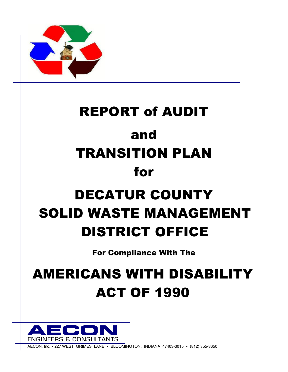

# REPORT of AUDIT and TRANSITION PLAN for DECATUR COUNTY SOLID WASTE MANAGEMENT DISTRICT OFFICE

For Compliance With The

## AMERICANS WITH DISABILITY ACT OF 1990



WEST GRIMES LANE . BLOOMINGTON, INDIANA 47403-3015 . (812) 355-8650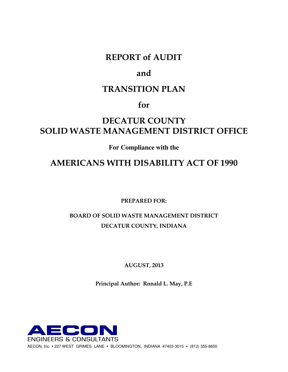#### REPORT of AUDIT

#### and

#### TRANSITION PLAN

### for

## DECATUR COUNTY SOLID WASTE MANAGEMENT DISTRICT OFFICE

**For Compliance with the** 

### AMERICANS WITH DISABILITY ACT OF 1990

PREPARED FOR:

### BOARD OF SOLID WASTE MANAGEMENT DISTRICT DECATUR COUNTY, INDIANA

AUGUST, 2013

Principal Author: Ronald L. May, P.E

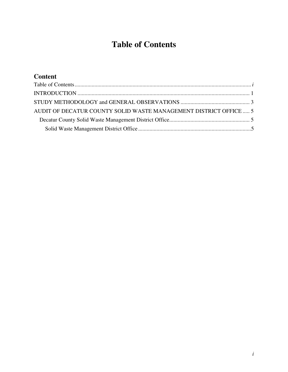## **Table of Contents**

#### **Content**  Table of Contents ............................................................................................................................. *i* INTRODUCTION .......................................................................................................................... 1 STUDY METHODOLOGY and GENERAL OBSERVATIONS ................................................. 3 AUDIT OF DECATUR COUNTY SOLID WASTE MANAGEMENT DISTRICT OFFICE ..... 5 Decatur County Solid Waste Management District Office......................................................... 5 Solid Waste Management District Office ................................................................................5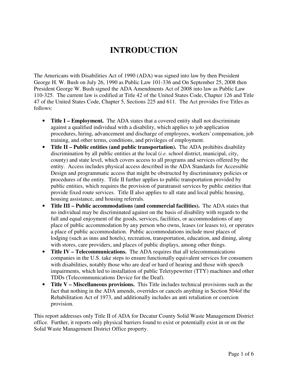## **INTRODUCTION**

The Americans with Disabilities Act of 1990 (ADA) was signed into law by then President George H. W. Bush on July 26, 1990 as Public Law 101-336 and On September 25, 2008 then President George W. Bush signed the ADA Amendments Act of 2008 into law as Public Law 110-325. The current law is codified at Title 42 of the United States Code, Chapter 126 and Title 47 of the United States Code, Chapter 5, Sections 225 and 611. The Act provides five Titles as follows:

- **Title I Employment.** The ADA states that a covered entity shall not discriminate against a qualified individual with a disability, which applies to job application procedures, hiring, advancement and discharge of employees, workers' compensation, job training, and other terms, conditions, and privileges of employment.
- **Title II Public entities (and public transportation).** The ADA prohibits disability discrimination by all public entities at the local (*i.e.* school district, municipal, city, county) and state level, which covers access to all programs and services offered by the entity. Access includes physical access described in the ADA Standards for Accessible Design and programmatic access that might be obstructed by discriminatory policies or procedures of the entity. Title II further applies to public transportation provided by public entities, which requires the provision of paratransit services by public entities that provide fixed route services. Title II also applies to all state and local public housing, housing assistance, and housing referrals.
- **Title III Public accommodations (and commercial facilities).** The ADA states that no individual may be discriminated against on the basis of disability with regards to the full and equal enjoyment of the goods, services, facilities, or accommodations of any place of public accommodation by any person who owns, leases (or leases to), or operates a place of public accommodation. Public accommodations include most places of lodging (such as inns and hotels), recreation, transportation, education, and dining, along with stores, care providers, and places of public displays, among other things.
- **Title IV Telecommunications.** The ADA requires that all telecommunications companies in the U.S. take steps to ensure functionally equivalent services for consumers with disabilities, notably those who are deaf or hard of hearing and those with speech impairments, which led to installation of public Teletypewriter (TTY) machines and other TDDs (Telecommunications Device for the Deaf).
- **Title V Miscellaneous provisions.** This Title includes technical provisions such as the fact that nothing in the ADA amends, overrides or cancels anything in Section 504of the Rehabilitation Act of 1973, and additionally includes an anti retaliation or coercion provision.

This report addresses only Title II of ADA for Decatur County Solid Waste Management District office. Further, it reports only physical barriers found to exist or potentially exist in or on the Solid Waste Management District Office property.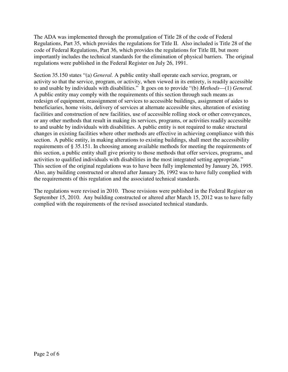The ADA was implemented through the promulgation of Title 28 of the code of Federal Regulations, Part 35, which provides the regulations for Title II. Also included is Title 28 of the code of Federal Regulations, Part 36, which provides the regulations for Title III, but more importantly includes the technical standards for the elimination of physical barriers. The original regulations were published in the Federal Register on July 26, 1991.

Section 35.150 states "(a) *General.* A public entity shall operate each service, program, or activity so that the service, program, or activity, when viewed in its entirety, is readily accessible to and usable by individuals with disabilities." It goes on to provide "(b) *Methods*—(1) *General.*  A public entity may comply with the requirements of this section through such means as redesign of equipment, reassignment of services to accessible buildings, assignment of aides to beneficiaries, home visits, delivery of services at alternate accessible sites, alteration of existing facilities and construction of new facilities, use of accessible rolling stock or other conveyances, or any other methods that result in making its services, programs, or activities readily accessible to and usable by individuals with disabilities. A public entity is not required to make structural changes in existing facilities where other methods are effective in achieving compliance with this section. A public entity, in making alterations to existing buildings, shall meet the accessibility requirements of § 35.151. In choosing among available methods for meeting the requirements of this section, a public entity shall give priority to those methods that offer services, programs, and activities to qualified individuals with disabilities in the most integrated setting appropriate." This section of the original regulations was to have been fully implemented by January 26, 1995. Also, any building constructed or altered after January 26, 1992 was to have fully complied with the requirements of this regulation and the associated technical standards.

The regulations were revised in 2010. Those revisions were published in the Federal Register on September 15, 2010. Any building constructed or altered after March 15, 2012 was to have fully complied with the requirements of the revised associated technical standards.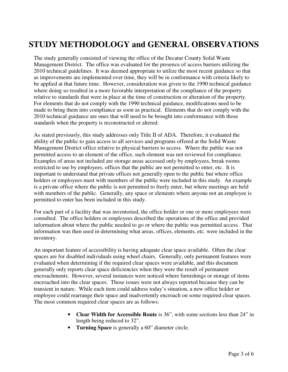## **STUDY METHODOLOGY and GENERAL OBSERVATIONS**

The study generally consisted of viewing the office of the Decatur County Solid Waste Management District. The office was evaluated for the presence of access barriers utilizing the 2010 technical guidelines. It was deemed appropriate to utilize the most recent guidance so that as improvements are implemented over time, they will be in conformance with criteria likely to be applied at that future time. However, consideration was given to the 1990 technical guidance where doing so resulted in a more favorable interpretation of the compliance of the property relative to standards that were in place at the time of construction or alteration of the property. For elements that do not comply with the 1990 technical guidance, modifications need to be made to bring them into compliance as soon as practical. Elements that do not comply with the 2010 technical guidance are ones that will need to be brought into conformance with those standards when the property is reconstructed or altered.

As stated previously, this study addresses only Title II of ADA. Therefore, it evaluated the ability of the public to gain access to all services and programs offered at the Solid Waste Management District office relative to physical barriers to access. Where the public was not permitted access to an element of the office, such element was not reviewed for compliance. Examples of areas not included are storage areas accessed only by employees, break rooms restricted to use by employees, offices that the public are not permitted to enter, etc. It is important to understand that private offices not generally open to the public but where office holders or employees meet with members of the public were included in this study. An example is a private office where the public is not permitted to freely enter, but where meetings are held with members of the public. Generally, any space or elements where anyone not an employee is permitted to enter has been included in this study.

For each part of a facility that was inventoried, the office holder or one or more employees were consulted. The office holders or employees described the operations of the office and provided information about where the public needed to go or where the public was permitted access. That information was then used in determining what areas, offices, elements, etc. were included in the inventory.

An important feature of accessibility is having adequate clear space available. Often the clear spaces are for disabled individuals using wheel chairs. Generally, only permanent features were evaluated when determining if the required clear spaces were available, and this document generally only reports clear space deficiencies when they were the result of permanent encroachments. However, several instances were noticed where furnishings or storage of items encroached into the clear spaces. Those issues were not always reported because they can be transient in nature. While each item could address today's situation, a new office holder or employee could rearrange their space and inadvertently encroach on some required clear spaces. The most common required clear spaces are as follows:

- **Clear Width for Accessible Route** is 36", with some sections less than 24" in length being reduced to 32".
- **Turning Space** is generally a 60" diameter circle.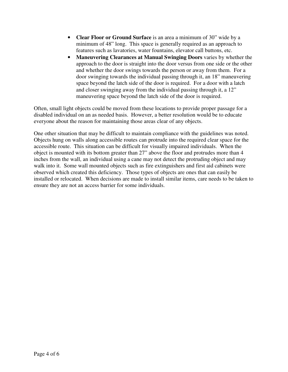- **Clear Floor or Ground Surface** is an area a minimum of 30" wide by a minimum of 48" long. This space is generally required as an approach to features such as lavatories, water fountains, elevator call buttons, etc.
- **Maneuvering Clearances at Manual Swinging Doors** varies by whether the approach to the door is straight into the door versus from one side or the other and whether the door swings towards the person or away from them. For a door swinging towards the individual passing through it, an 18" maneuvering space beyond the latch side of the door is required. For a door with a latch and closer swinging away from the individual passing through it, a 12" maneuvering space beyond the latch side of the door is required.

Often, small light objects could be moved from these locations to provide proper passage for a disabled individual on an as needed basis. However, a better resolution would be to educate everyone about the reason for maintaining those areas clear of any objects.

One other situation that may be difficult to maintain compliance with the guidelines was noted. Objects hung on walls along accessible routes can protrude into the required clear space for the accessible route. This situation can be difficult for visually impaired individuals. When the object is mounted with its bottom greater than 27" above the floor and protrudes more than 4 inches from the wall, an individual using a cane may not detect the protruding object and may walk into it. Some wall mounted objects such as fire extinguishers and first aid cabinets were observed which created this deficiency. Those types of objects are ones that can easily be installed or relocated. When decisions are made to install similar items, care needs to be taken to ensure they are not an access barrier for some individuals.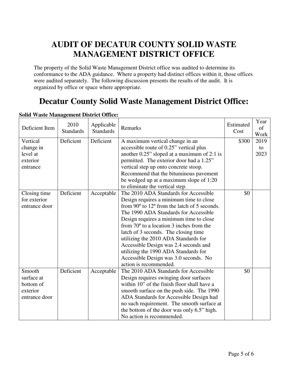## **AUDIT OF DECATUR COUNTY SOLID WASTE MANAGEMENT DISTRICT OFFICE**

The property of the Solid Waste Management District office was audited to determine its conformance to the ADA guidance. Where a property had distinct offices within it, those offices were audited separately. The following discussion presents the results of the audit. It is organized by office or space where appropriate.

## **Decatur County Solid Waste Management District Office:**

| Deficient Item | 2010<br><b>Standards</b> | Applicable<br><b>Standards</b> | Remarks                                                        | Estimated<br>Cost | Year<br>of<br>Work |
|----------------|--------------------------|--------------------------------|----------------------------------------------------------------|-------------------|--------------------|
| Vertical       | Deficient                | Deficient                      | A maximum vertical change in an                                | \$300             | 2019               |
| change in      |                          |                                | accessible route of 0.25" vertical plus                        |                   | to                 |
| level at       |                          |                                | another 0.25" sloped at a maximum of 2:1 is                    |                   | 2023               |
| exterior       |                          |                                | permitted. The exterior door had a 1.25"                       |                   |                    |
| entrance       |                          |                                | vertical step up onto concrete stoop.                          |                   |                    |
|                |                          |                                | Recommend that the bituminous pavement                         |                   |                    |
|                |                          |                                | be wedged up at a maximum slope of 1:20                        |                   |                    |
|                |                          |                                | to eliminate the vertical step.                                |                   |                    |
| Closing time   | Deficient                | Acceptable                     | The 2010 ADA Standards for Accessible                          | \$0               |                    |
| for exterior   |                          |                                | Design requires a minimum time to close                        |                   |                    |
| entrance door  |                          |                                | from $90^{\circ}$ to $12^{\circ}$ from the latch of 5 seconds. |                   |                    |
|                |                          |                                | The 1990 ADA Standards for Accessible                          |                   |                    |
|                |                          |                                | Design requires a minimum time to close                        |                   |                    |
|                |                          |                                | from $70^{\circ}$ to a location 3 inches from the              |                   |                    |
|                |                          |                                | latch of 3 seconds. The closing time                           |                   |                    |
|                |                          |                                | utilizing the 2010 ADA Standards for                           |                   |                    |
|                |                          |                                | Accessible Design was 2.4 seconds and                          |                   |                    |
|                |                          |                                | utilizing the 1990 ADA Standards for                           |                   |                    |
|                |                          |                                | Accessible Design was 3.0 seconds. No                          |                   |                    |
|                |                          |                                | action is recommended.                                         |                   |                    |
| Smooth         | Deficient                | Acceptable                     | The 2010 ADA Standards for Accessible                          | \$0               |                    |
| surface at     |                          |                                | Design requires swinging door surfaces                         |                   |                    |
| bottom of      |                          |                                | within 10" of the finish floor shall have a                    |                   |                    |
| exterior       |                          |                                | smooth surface on the push side. The 1990                      |                   |                    |
| entrance door  |                          |                                | ADA Standards for Accessible Design had                        |                   |                    |
|                |                          |                                | no such requirement. The smooth surface at                     |                   |                    |
|                |                          |                                | the bottom of the door was only 6.5" high.                     |                   |                    |
|                |                          |                                | No action is recommended.                                      |                   |                    |

#### **Solid Waste Management District Office:**